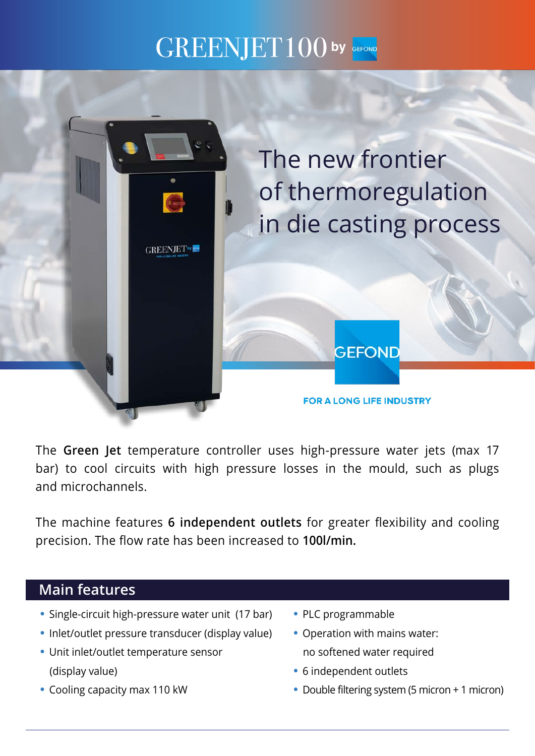## $\text{GREENJET100}$  by GEFOND



The **Green Jet** temperature controller uses high-pressure water jets (max 17 bar) to cool circuits with high pressure losses in the mould, such as plugs and microchannels.

The machine features **6 independent outlets** for greater flexibility and cooling precision. The flow rate has been increased to **100l/min.**

## **Main features**

- **•** Single-circuit high-pressure water unit (17 bar)
- **•** Inlet/outlet pressure transducer (display value)
- **•** Unit inlet/outlet temperature sensor (display value)
- **•** Cooling capacity max 110 kW
- **•** PLC programmable
- **•** Operation with mains water: no softened water required
- **•** 6 independent outlets
- **•** Double filtering system (5 micron + 1 micron)